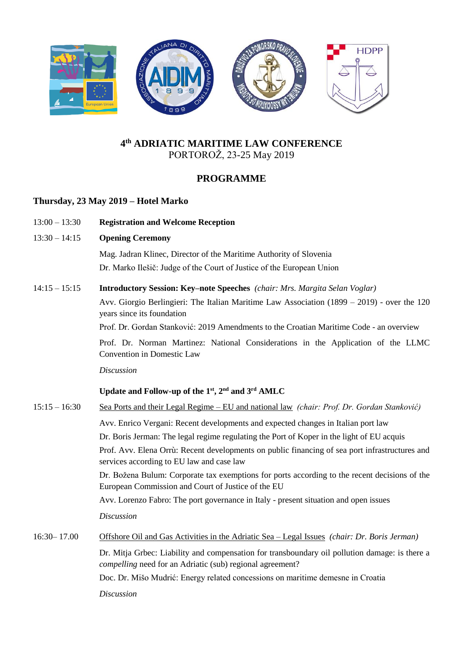

# **4 th ADRIATIC MARITIME LAW CONFERENCE** PORTOROŽ, 23-25 May 2019

# **PROGRAMME**

### **Thursday, 23 May 2019 – Hotel Marko**

- 13:00 13:30 **Registration and Welcome Reception**
- 13:30 14:15 **Opening Ceremony**

 Mag. Jadran Klinec, Director of the Maritime Authority of Slovenia Dr. Marko Ilešič: Judge of the Court of Justice of the European Union

#### 14:15 – 15:15 **Introductory Session: Key–note Speeches** *(chair: Mrs. Margita Selan Voglar)*

Avv. Giorgio Berlingieri: The Italian Maritime Law Association (1899 – 2019) - over the 120 years since its foundation

Prof. Dr. Gordan Stanković: 2019 Amendments to the Croatian Maritime Code - an overview

Prof. Dr. Norman Martinez: National Considerations in the Application of the LLMC Convention in Domestic Law

#### *Discussion*

### **Update and Follow-up of the 1st, 2nd and 3rd AMLC**

| $15:15 - 16:30$ | Sea Ports and their Legal Regime – EU and national law (chair: Prof. Dr. Gordan Stanković)                                                                         |  |  |
|-----------------|--------------------------------------------------------------------------------------------------------------------------------------------------------------------|--|--|
|                 | Avv. Enrico Vergani: Recent developments and expected changes in Italian port law                                                                                  |  |  |
|                 | Dr. Boris Jerman: The legal regime regulating the Port of Koper in the light of EU acquis                                                                          |  |  |
|                 | Prof. Avv. Elena Orrù: Recent developments on public financing of sea port infrastructures and<br>services according to EU law and case law                        |  |  |
|                 | Dr. Božena Bulum: Corporate tax exemptions for ports according to the recent decisions of the<br>European Commission and Court of Justice of the EU                |  |  |
|                 | Avv. Lorenzo Fabro: The port governance in Italy - present situation and open issues                                                                               |  |  |
|                 | <i>Discussion</i>                                                                                                                                                  |  |  |
| $16:30 - 17.00$ | Offshore Oil and Gas Activities in the Adriatic Sea – Legal Issues (chair: Dr. Boris Jerman)                                                                       |  |  |
|                 | Dr. Mitja Grbec: Liability and compensation for transboundary oil pollution damage: is there a<br><i>compelling</i> need for an Adriatic (sub) regional agreement? |  |  |
|                 | Doc. Dr. Mišo Mudrić: Energy related concessions on maritime demesne in Croatia                                                                                    |  |  |
|                 | <i>Discussion</i>                                                                                                                                                  |  |  |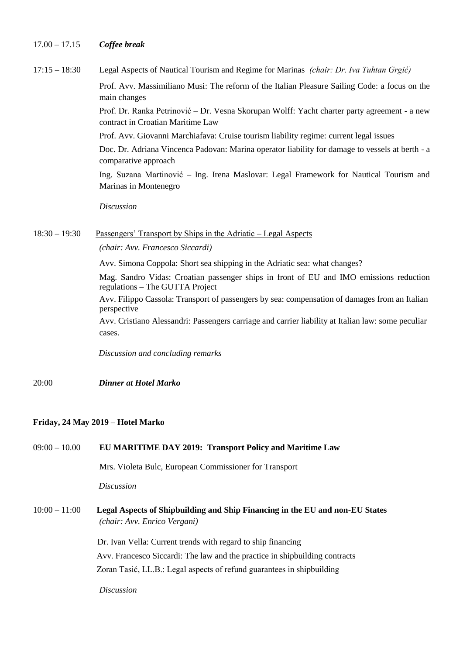| $17.00 - 17.15$ | Coffee break |  |
|-----------------|--------------|--|
|                 |              |  |

| $17:15 - 18:30$ | Legal Aspects of Nautical Tourism and Regime for Marinas (chair: Dr. Iva Tuhtan Grgić)                                            |  |  |
|-----------------|-----------------------------------------------------------------------------------------------------------------------------------|--|--|
|                 | Prof. Avv. Massimiliano Musi: The reform of the Italian Pleasure Sailing Code: a focus on the<br>main changes                     |  |  |
|                 | Prof. Dr. Ranka Petrinović – Dr. Vesna Skorupan Wolff: Yacht charter party agreement - a new<br>contract in Croatian Maritime Law |  |  |
|                 | Prof. Avv. Giovanni Marchiafava: Cruise tourism liability regime: current legal issues                                            |  |  |
|                 | Doc. Dr. Adriana Vincenca Padovan: Marina operator liability for damage to vessels at berth - a<br>comparative approach           |  |  |
|                 | Ing. Suzana Martinović – Ing. Irena Maslovar: Legal Framework for Nautical Tourism and<br>Marinas in Montenegro                   |  |  |
|                 | <b>Discussion</b>                                                                                                                 |  |  |
| $18:30 - 19:30$ | <u>Passengers' Transport by Ships in the Adriatic – Legal Aspects</u>                                                             |  |  |
|                 | (chair: Avv. Francesco Siccardi)                                                                                                  |  |  |
|                 | Avv. Simona Coppola: Short sea shipping in the Adriatic sea: what changes?                                                        |  |  |
|                 | Mag. Sandro Vidas: Croatian passenger ships in front of EU and IMO emissions reduction<br>regulations – The GUTTA Project         |  |  |
|                 | Avv. Filippo Cassola: Transport of passengers by sea: compensation of damages from an Italian<br>perspective                      |  |  |
|                 | Avv. Cristiano Alessandri: Passengers carriage and carrier liability at Italian law: some peculiar<br>cases.                      |  |  |
|                 | Discussion and concluding remarks                                                                                                 |  |  |
| 20:00           | <b>Dinner at Hotel Marko</b>                                                                                                      |  |  |

### **Friday, 24 May 2019 – Hotel Marko**

| $09:00 - 10.00$ |  | EU MARITIME DAY 2019: Transport Policy and Maritime Law |
|-----------------|--|---------------------------------------------------------|
|-----------------|--|---------------------------------------------------------|

Mrs. Violeta Bulc, European Commissioner for Transport

*Discussion* 

10:00 – 11:00 **Legal Aspects of Shipbuilding and Ship Financing in the EU and non-EU States**  *(chair: Avv. Enrico Vergani)*

> Dr. Ivan Vella: Current trends with regard to ship financing Avv. Francesco Siccardi: The law and the practice in shipbuilding contracts Zoran Tasić, LL.B.: Legal aspects of refund guarantees in shipbuilding

*Discussion*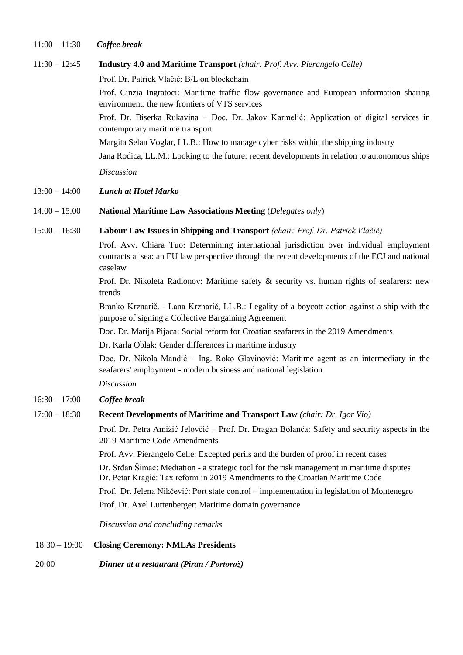#### 11:00 – 11:30 *Coffee break*

#### 11:30 – 12:45 **Industry 4.0 and Maritime Transport** *(chair: Prof. Avv. Pierangelo Celle)*

Prof. Dr. Patrick Vlačič: B/L on blockchain

Prof. Cinzia Ingratoci: Maritime traffic flow governance and European information sharing environment: the new frontiers of VTS services

Prof. Dr. Biserka Rukavina – Doc. Dr. Jakov Karmelić: Application of digital services in contemporary maritime transport

Margita Selan Voglar, LL.B.: How to manage cyber risks within the shipping industry

Jana Rodica, LL.M.: Looking to the future: recent developments in relation to autonomous ships

*Discussion* 

#### 13:00 – 14:00 *Lunch at Hotel Marko*

14:00 – 15:00 **National Maritime Law Associations Meeting** (*Delegates only*)

#### 15:00 – 16:30 **Labour Law Issues in Shipping and Transport** *(chair: Prof. Dr. Patrick Vlačič)*

Prof. Avv. Chiara Tuo: Determining international jurisdiction over individual employment contracts at sea: an EU law perspective through the recent developments of the ECJ and national caselaw

Prof. Dr. Nikoleta Radionov: Maritime safety & security vs. human rights of seafarers: new trends

Branko Krznarič. - Lana Krznarič, LL.B.: Legality of a boycott action against a ship with the purpose of signing a Collective Bargaining Agreement

Doc. Dr. Marija Pijaca: Social reform for Croatian seafarers in the 2019 Amendments

Dr. Karla Oblak: Gender differences in maritime industry

Doc. Dr. Nikola Mandić – Ing. Roko Glavinović: Maritime agent as an intermediary in the seafarers' employment - modern business and national legislation

#### *Discussion*

16:30 – 17:00 *Coffee break*

#### 17:00 – 18:30 **Recent Developments of Maritime and Transport Law** *(chair: Dr. Igor Vio)*

Prof. Dr. Petra Amižić Jelovčić – Prof. Dr. Dragan Bolanča: Safety and security aspects in the 2019 Maritime Code Amendments

Prof. Avv. Pierangelo Celle: Excepted perils and the burden of proof in recent cases

Dr. Srđan Šimac: Mediation - a strategic tool for the risk management in maritime disputes Dr. Petar Kragić: Tax reform in 2019 Amendments to the Croatian Maritime Code

Prof. Dr. Jelena Nikčević: Port state control – implementation in legislation of Montenegro

Prof. Dr. Axel Luttenberger: Maritime domain governance

*Discussion and concluding remarks*

#### 18:30 – 19:00 **Closing Ceremony: NMLAs Presidents**

20:00 *Dinner at a restaurant (Piran / Portorož)*